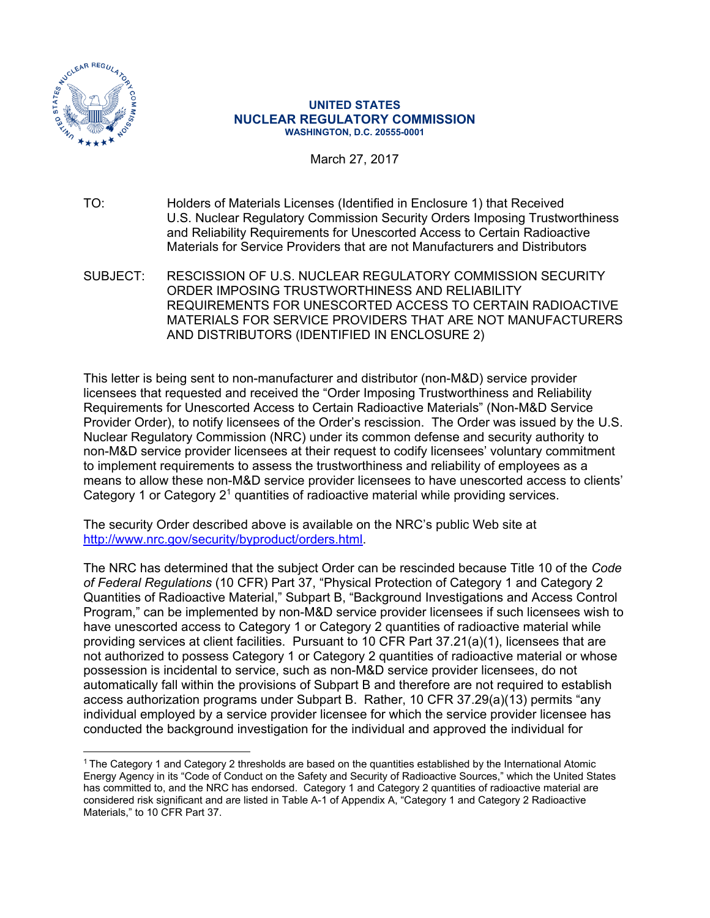

 $\overline{a}$ 

#### **UNITED STATES NUCLEAR REGULATORY COMMISSION WASHINGTON, D.C. 20555-0001**

March 27, 2017

TO: Holders of Materials Licenses (Identified in Enclosure 1) that Received U.S. Nuclear Regulatory Commission Security Orders Imposing Trustworthiness and Reliability Requirements for Unescorted Access to Certain Radioactive Materials for Service Providers that are not Manufacturers and Distributors

SUBJECT: RESCISSION OF U.S. NUCLEAR REGULATORY COMMISSION SECURITY ORDER IMPOSING TRUSTWORTHINESS AND RELIABILITY REQUIREMENTS FOR UNESCORTED ACCESS TO CERTAIN RADIOACTIVE MATERIALS FOR SERVICE PROVIDERS THAT ARE NOT MANUFACTURERS AND DISTRIBUTORS (IDENTIFIED IN ENCLOSURE 2)

This letter is being sent to non-manufacturer and distributor (non-M&D) service provider licensees that requested and received the "Order Imposing Trustworthiness and Reliability Requirements for Unescorted Access to Certain Radioactive Materials" (Non-M&D Service Provider Order), to notify licensees of the Order's rescission. The Order was issued by the U.S. Nuclear Regulatory Commission (NRC) under its common defense and security authority to non-M&D service provider licensees at their request to codify licensees' voluntary commitment to implement requirements to assess the trustworthiness and reliability of employees as a means to allow these non-M&D service provider licensees to have unescorted access to clients' Category 1 or Category  $2<sup>1</sup>$  quantities of radioactive material while providing services.

The security Order described above is available on the NRC's public Web site at http://www.nrc.gov/security/byproduct/orders.html.

The NRC has determined that the subject Order can be rescinded because Title 10 of the *Code of Federal Regulations* (10 CFR) Part 37, "Physical Protection of Category 1 and Category 2 Quantities of Radioactive Material," Subpart B, "Background Investigations and Access Control Program," can be implemented by non-M&D service provider licensees if such licensees wish to have unescorted access to Category 1 or Category 2 quantities of radioactive material while providing services at client facilities. Pursuant to 10 CFR Part 37.21(a)(1), licensees that are not authorized to possess Category 1 or Category 2 quantities of radioactive material or whose possession is incidental to service, such as non-M&D service provider licensees, do not automatically fall within the provisions of Subpart B and therefore are not required to establish access authorization programs under Subpart B. Rather, 10 CFR 37.29(a)(13) permits "any individual employed by a service provider licensee for which the service provider licensee has conducted the background investigation for the individual and approved the individual for

<sup>&</sup>lt;sup>1</sup> The Category 1 and Category 2 thresholds are based on the quantities established by the International Atomic Energy Agency in its "Code of Conduct on the Safety and Security of Radioactive Sources," which the United States has committed to, and the NRC has endorsed. Category 1 and Category 2 quantities of radioactive material are considered risk significant and are listed in Table A-1 of Appendix A, "Category 1 and Category 2 Radioactive Materials," to 10 CFR Part 37.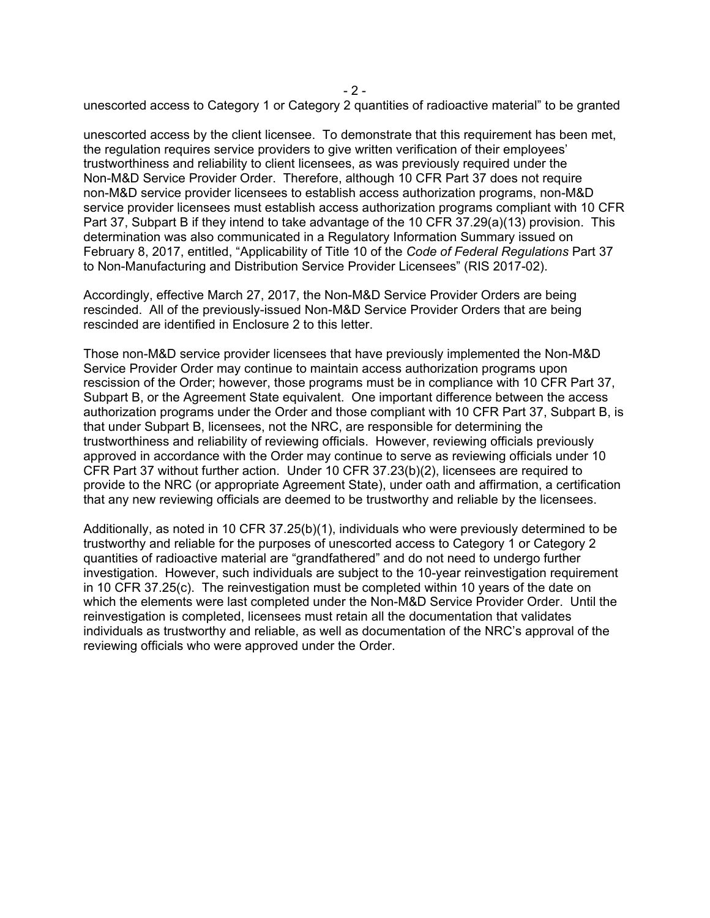- 2 unescorted access to Category 1 or Category 2 quantities of radioactive material" to be granted

unescorted access by the client licensee. To demonstrate that this requirement has been met, the regulation requires service providers to give written verification of their employees' trustworthiness and reliability to client licensees, as was previously required under the Non-M&D Service Provider Order. Therefore, although 10 CFR Part 37 does not require non-M&D service provider licensees to establish access authorization programs, non-M&D service provider licensees must establish access authorization programs compliant with 10 CFR Part 37, Subpart B if they intend to take advantage of the 10 CFR 37.29(a)(13) provision. This determination was also communicated in a Regulatory Information Summary issued on February 8, 2017, entitled, "Applicability of Title 10 of the *Code of Federal Regulations* Part 37 to Non-Manufacturing and Distribution Service Provider Licensees" (RIS 2017-02).

Accordingly, effective March 27, 2017, the Non-M&D Service Provider Orders are being rescinded. All of the previously-issued Non-M&D Service Provider Orders that are being rescinded are identified in Enclosure 2 to this letter.

Those non-M&D service provider licensees that have previously implemented the Non-M&D Service Provider Order may continue to maintain access authorization programs upon rescission of the Order; however, those programs must be in compliance with 10 CFR Part 37, Subpart B, or the Agreement State equivalent. One important difference between the access authorization programs under the Order and those compliant with 10 CFR Part 37, Subpart B, is that under Subpart B, licensees, not the NRC, are responsible for determining the trustworthiness and reliability of reviewing officials. However, reviewing officials previously approved in accordance with the Order may continue to serve as reviewing officials under 10 CFR Part 37 without further action. Under 10 CFR 37.23(b)(2), licensees are required to provide to the NRC (or appropriate Agreement State), under oath and affirmation, a certification that any new reviewing officials are deemed to be trustworthy and reliable by the licensees.

Additionally, as noted in 10 CFR 37.25(b)(1), individuals who were previously determined to be trustworthy and reliable for the purposes of unescorted access to Category 1 or Category 2 quantities of radioactive material are "grandfathered" and do not need to undergo further investigation. However, such individuals are subject to the 10-year reinvestigation requirement in 10 CFR 37.25(c). The reinvestigation must be completed within 10 years of the date on which the elements were last completed under the Non-M&D Service Provider Order. Until the reinvestigation is completed, licensees must retain all the documentation that validates individuals as trustworthy and reliable, as well as documentation of the NRC's approval of the reviewing officials who were approved under the Order.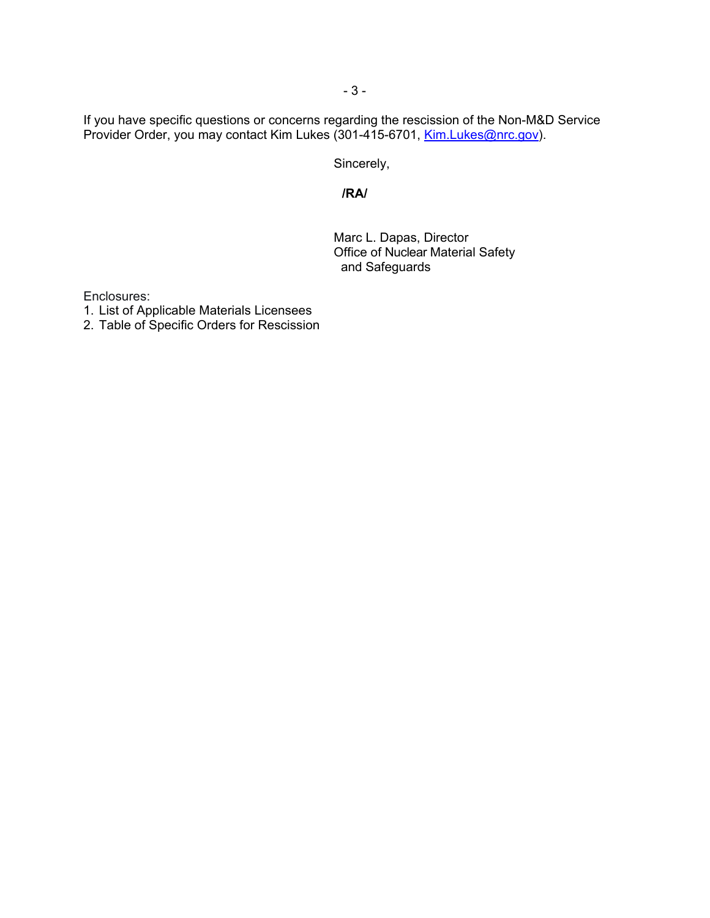If you have specific questions or concerns regarding the rescission of the Non-M&D Service Provider Order, you may contact Kim Lukes (301-415-6701, Kim Lukes@nrc.gov).

Sincerely,

# **/RA/**

 Marc L. Dapas, Director Office of Nuclear Material Safety and Safeguards

Enclosures:

- 1. List of Applicable Materials Licensees
- 2. Table of Specific Orders for Rescission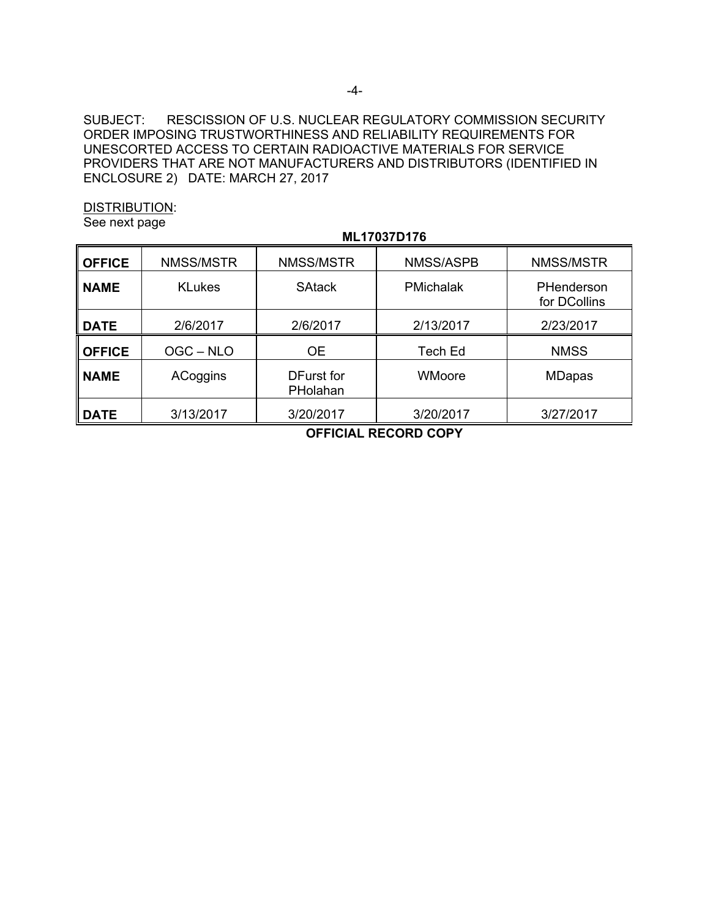SUBJECT: RESCISSION OF U.S. NUCLEAR REGULATORY COMMISSION SECURITY ORDER IMPOSING TRUSTWORTHINESS AND RELIABILITY REQUIREMENTS FOR UNESCORTED ACCESS TO CERTAIN RADIOACTIVE MATERIALS FOR SERVICE PROVIDERS THAT ARE NOT MANUFACTURERS AND DISTRIBUTORS (IDENTIFIED IN ENCLOSURE 2) DATE: MARCH 27, 2017

DISTRIBUTION:

See next page

|               | ML17037D176   |                        |                  |                            |  |  |
|---------------|---------------|------------------------|------------------|----------------------------|--|--|
| <b>OFFICE</b> | NMSS/MSTR     | NMSS/MSTR              | <b>NMSS/ASPB</b> | NMSS/MSTR                  |  |  |
| <b>NAME</b>   | <b>KLukes</b> | <b>SAtack</b>          | <b>PMichalak</b> | PHenderson<br>for DCollins |  |  |
| <b>DATE</b>   | 2/6/2017      | 2/6/2017               | 2/13/2017        | 2/23/2017                  |  |  |
| <b>OFFICE</b> | OGC-NLO       | <b>OE</b>              | <b>Tech Ed</b>   | <b>NMSS</b>                |  |  |
| <b>NAME</b>   | ACoggins      | DFurst for<br>PHolahan | WMoore           | <b>MDapas</b>              |  |  |
| <b>DATE</b>   | 3/13/2017     | 3/20/2017              | 3/20/2017        | 3/27/2017                  |  |  |

**OFFICIAL RECORD COPY**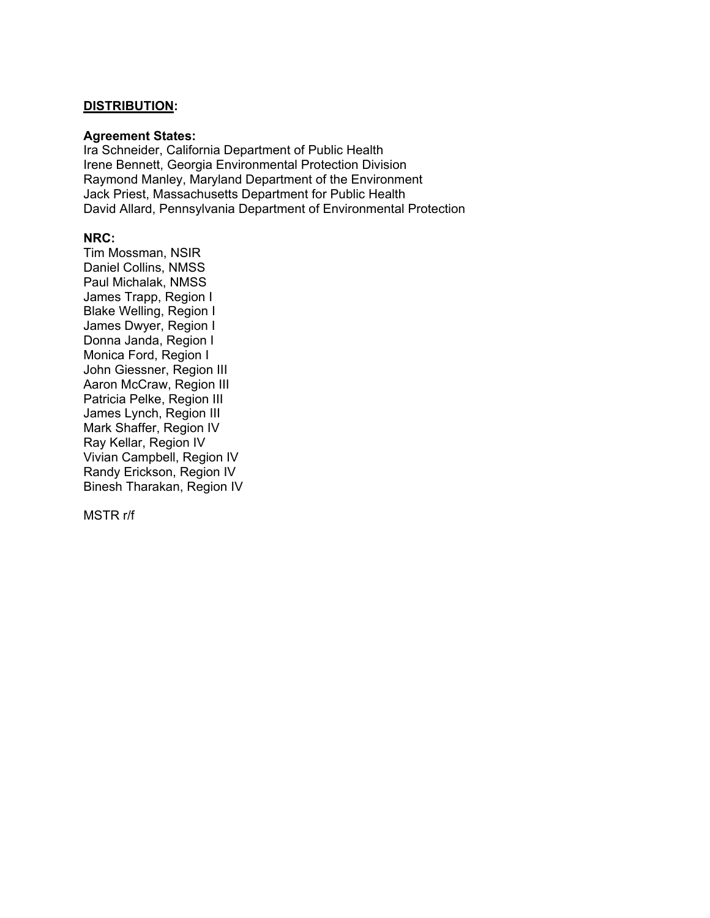### **DISTRIBUTION:**

#### **Agreement States:**

Ira Schneider, California Department of Public Health Irene Bennett, Georgia Environmental Protection Division Raymond Manley, Maryland Department of the Environment Jack Priest, Massachusetts Department for Public Health David Allard, Pennsylvania Department of Environmental Protection

## **NRC:**

Tim Mossman, NSIR Daniel Collins, NMSS Paul Michalak, NMSS James Trapp, Region I Blake Welling, Region I James Dwyer, Region I Donna Janda, Region I Monica Ford, Region I John Giessner, Region III Aaron McCraw, Region III Patricia Pelke, Region III James Lynch, Region III Mark Shaffer, Region IV Ray Kellar, Region IV Vivian Campbell, Region IV Randy Erickson, Region IV Binesh Tharakan, Region IV

MSTR r/f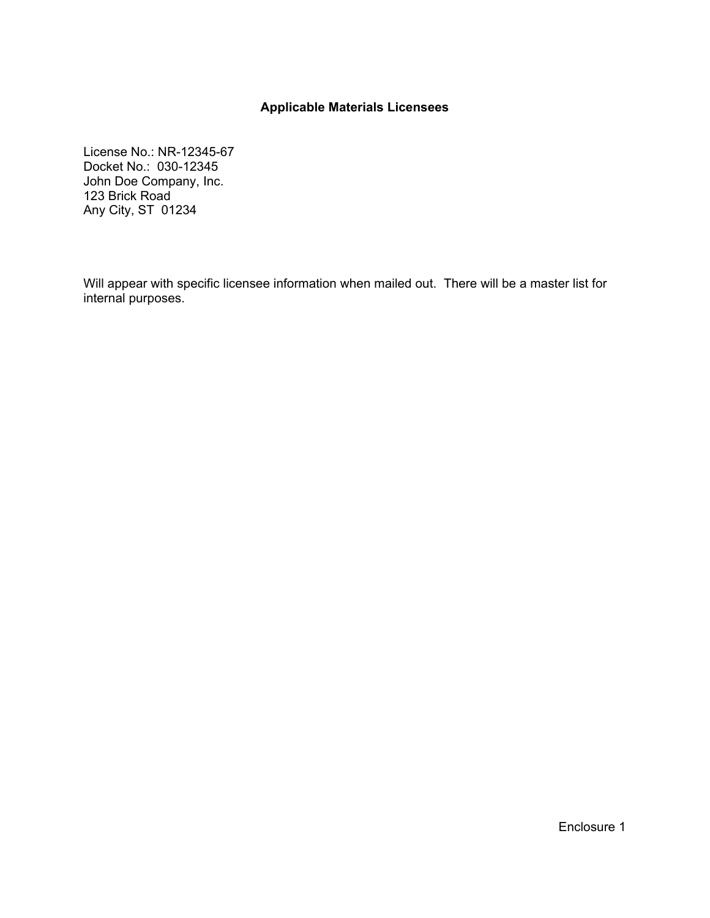## **Applicable Materials Licensees**

License No.: NR-12345-67 Docket No.: 030-12345 John Doe Company, Inc. 123 Brick Road Any City, ST 01234

Will appear with specific licensee information when mailed out. There will be a master list for internal purposes.